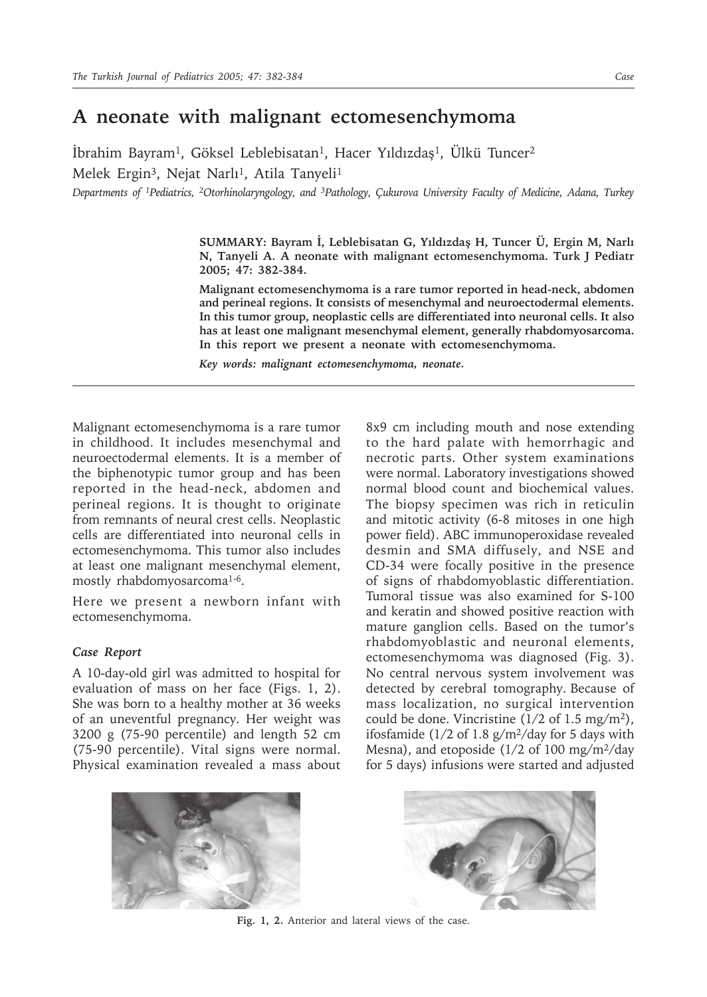## **A neonate with malignant ectomesenchymoma**

 $Ibrahim Bayram<sup>1</sup>$ , Göksel Leblebisatan<sup>1</sup>, Hacer Yıldızdaş<sup>1</sup>, Ülkü Tuncer<sup>2</sup> Melek Ergin<sup>3</sup>, Nejat Narlı<sup>1</sup>, Atila Tanyeli<sup>1</sup>

*Departments of 1Pediatrics, 2Otorhinolaryngology, and 3Pathology, Çukurova University Faculty of Medicine, Adana, Turkey*

**SUMMARY: Bayram İ, Leblebisatan G, Yıldızdaş H, Tuncer Ü, Ergin M, Narlı N, Tanyeli A. A neonate with malignant ectomesenchymoma. Turk J Pediatr 2005; 47: 382-384.**

**Malignant ectomesenchymoma is a rare tumor reported in head-neck, abdomen and perineal regions. It consists of mesenchymal and neuroectodermal elements. In this tumor group, neoplastic cells are differentiated into neuronal cells. It also has at least one malignant mesenchymal element, generally rhabdomyosarcoma. In this report we present a neonate with ectomesenchymoma.**

*Key words: malignant ectomesenchymoma, neonate.*

Malignant ectomesenchymoma is a rare tumor in childhood. It includes mesenchymal and neuroectodermal elements. It is a member of the biphenotypic tumor group and has been reported in the head-neck, abdomen and perineal regions. It is thought to originate from remnants of neural crest cells. Neoplastic cells are differentiated into neuronal cells in ectomesenchymoma. This tumor also includes at least one malignant mesenchymal element, mostly rhabdomyosarcoma<sup>1-6</sup>.

Here we present a newborn infant with ectomesenchymoma.

## *Case Report*

A 10-day-old girl was admitted to hospital for evaluation of mass on her face (Figs. 1, 2). She was born to a healthy mother at 36 weeks of an uneventful pregnancy. Her weight was 3200 g (75-90 percentile) and length 52 cm (75-90 percentile). Vital signs were normal. Physical examination revealed a mass about

8x9 cm including mouth and nose extending to the hard palate with hemorrhagic and necrotic parts. Other system examinations were normal. Laboratory investigations showed normal blood count and biochemical values. The biopsy specimen was rich in reticulin and mitotic activity (6-8 mitoses in one high power field). ABC immunoperoxidase revealed desmin and SMA diffusely, and NSE and CD-34 were focally positive in the presence of signs of rhabdomyoblastic differentiation. Tumoral tissue was also examined for S-100 and keratin and showed positive reaction with mature ganglion cells. Based on the tumor's rhabdomyoblastic and neuronal elements, ectomesenchymoma was diagnosed (Fig. 3). No central nervous system involvement was detected by cerebral tomography. Because of mass localization, no surgical intervention could be done. Vincristine  $(1/2 \text{ of } 1.5 \text{ mg/m}^2)$ , ifosfamide ( $1/2$  of 1.8 g/m<sup>2</sup>/day for 5 days with Mesna), and etoposide  $(1/2 \text{ of } 100 \text{ mg/m}^2/\text{day})$ for 5 days) infusions were started and adjusted





**Fig. 1, 2.** Anterior and lateral views of the case.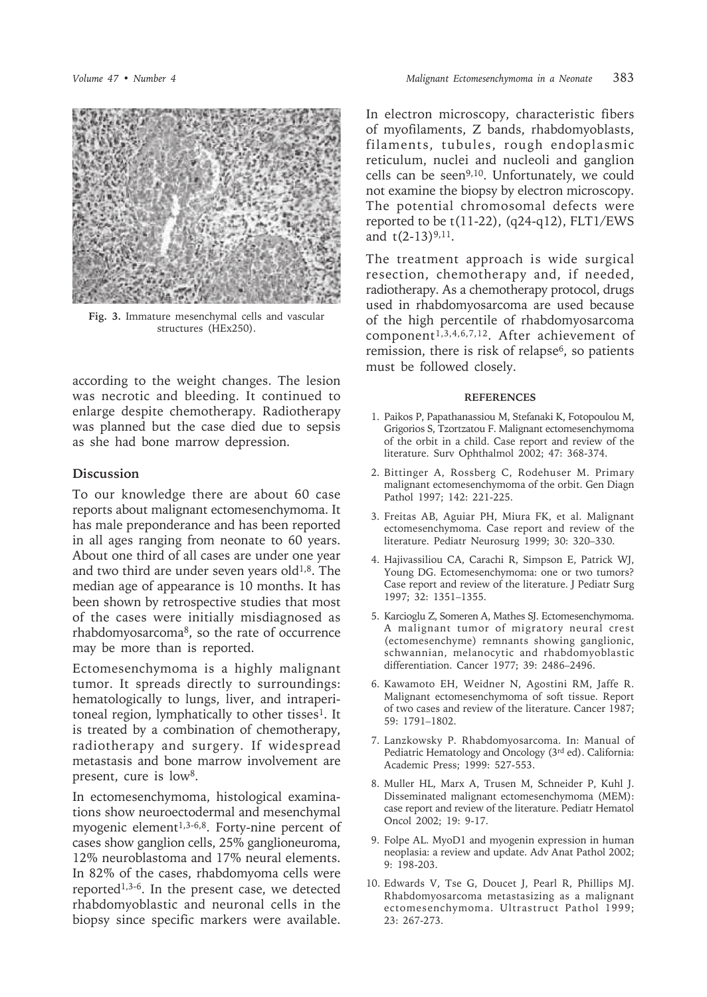

**Fig. 3.** Immature mesenchymal cells and vascular structures (HEx250).

according to the weight changes. The lesion was necrotic and bleeding. It continued to enlarge despite chemotherapy. Radiotherapy was planned but the case died due to sepsis as she had bone marrow depression.

## **Discussion**

To our knowledge there are about 60 case reports about malignant ectomesenchymoma. It has male preponderance and has been reported in all ages ranging from neonate to 60 years. About one third of all cases are under one year and two third are under seven years old $1,8$ . The median age of appearance is 10 months. It has been shown by retrospective studies that most of the cases were initially misdiagnosed as rhabdomyosarcoma8, so the rate of occurrence may be more than is reported.

Ectomesenchymoma is a highly malignant tumor. It spreads directly to surroundings: hematologically to lungs, liver, and intraperitoneal region, lymphatically to other tisses<sup>1</sup>. It is treated by a combination of chemotherapy, radiotherapy and surgery. If widespread metastasis and bone marrow involvement are present, cure is low<sup>8</sup>.

In ectomesenchymoma, histological examinations show neuroectodermal and mesenchymal myogenic element<sup>1,3-6,8</sup>. Forty-nine percent of cases show ganglion cells, 25% ganglioneuroma, 12% neuroblastoma and 17% neural elements. In 82% of the cases, rhabdomyoma cells were reported1,3-6. In the present case, we detected rhabdomyoblastic and neuronal cells in the biopsy since specific markers were available.

In electron microscopy, characteristic fibers of myofilaments, Z bands, rhabdomyoblasts, filaments, tubules, rough endoplasmic reticulum, nuclei and nucleoli and ganglion cells can be seen9,10. Unfortunately, we could not examine the biopsy by electron microscopy. The potential chromosomal defects were reported to be  $t(11-22)$ ,  $(q24-q12)$ , FLT1/EWS and  $t(2-13)^{9,11}$ .

The treatment approach is wide surgical resection, chemotherapy and, if needed, radiotherapy. As a chemotherapy protocol, drugs used in rhabdomyosarcoma are used because of the high percentile of rhabdomyosarcoma component<sup>1,3,4,6,7,12</sup>. After achievement of remission, there is risk of relapse6, so patients must be followed closely.

## **REFERENCES**

- 1. Paikos P, Papathanassiou M, Stefanaki K, Fotopoulou M, Grigorios S, Tzortzatou F. Malignant ectomesenchymoma of the orbit in a child. Case report and review of the literature. Surv Ophthalmol 2002; 47: 368-374.
- 2. Bittinger A, Rossberg C, Rodehuser M. Primary malignant ectomesenchymoma of the orbit. Gen Diagn Pathol 1997; 142: 221-225.
- 3. Freitas AB, Aguiar PH, Miura FK, et al. Malignant ectomesenchymoma. Case report and review of the literature. Pediatr Neurosurg 1999; 30: 320–330.
- 4. Hajivassiliou CA, Carachi R, Simpson E, Patrick WJ, Young DG. Ectomesenchymoma: one or two tumors? Case report and review of the literature. J Pediatr Surg 1997; 32: 1351–1355.
- 5. Karcioglu Z, Someren A, Mathes SJ. Ectomesenchymoma. A malignant tumor of migratory neural crest (ectomesenchyme) remnants showing ganglionic, schwannian, melanocytic and rhabdomyoblastic differentiation. Cancer 1977; 39: 2486–2496.
- 6. Kawamoto EH, Weidner N, Agostini RM, Jaffe R. Malignant ectomesenchymoma of soft tissue. Report of two cases and review of the literature. Cancer 1987; 59: 1791–1802.
- 7. Lanzkowsky P. Rhabdomyosarcoma. In: Manual of Pediatric Hematology and Oncology (3rd ed). California: Academic Press; 1999: 527-553.
- 8. Muller HL, Marx A, Trusen M, Schneider P, Kuhl J. Disseminated malignant ectomesenchymoma (MEM): case report and review of the literature. Pediatr Hematol Oncol 2002; 19: 9-17.
- 9. Folpe AL. MyoD1 and myogenin expression in human neoplasia: a review and update. Adv Anat Pathol 2002; 9: 198-203.
- 10. Edwards V, Tse G, Doucet J, Pearl R, Phillips MJ. Rhabdomyosarcoma metastasizing as a malignant ectomesenchymoma. Ultrastruct Pathol 1999; 23: 267-273.